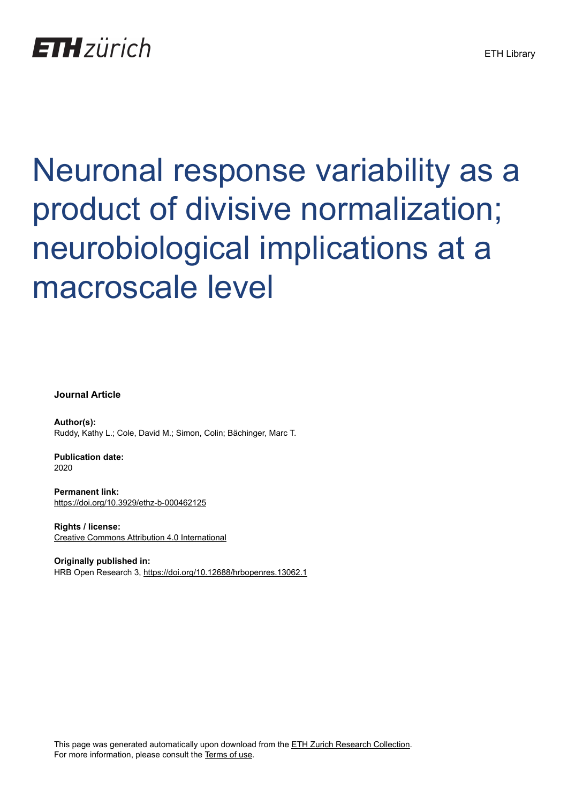# **ETH** zürich

# Neuronal response variability as a product of divisive normalization; neurobiological implications at a macroscale level

**Journal Article**

**Author(s):** Ruddy, Kathy L.; Cole, David M.; Simon, Colin; Bächinger, Marc T.

**Publication date:** 2020

**Permanent link:** <https://doi.org/10.3929/ethz-b-000462125>

**Rights / license:** [Creative Commons Attribution 4.0 International](http://creativecommons.org/licenses/by/4.0/)

**Originally published in:** HRB Open Research 3,<https://doi.org/10.12688/hrbopenres.13062.1>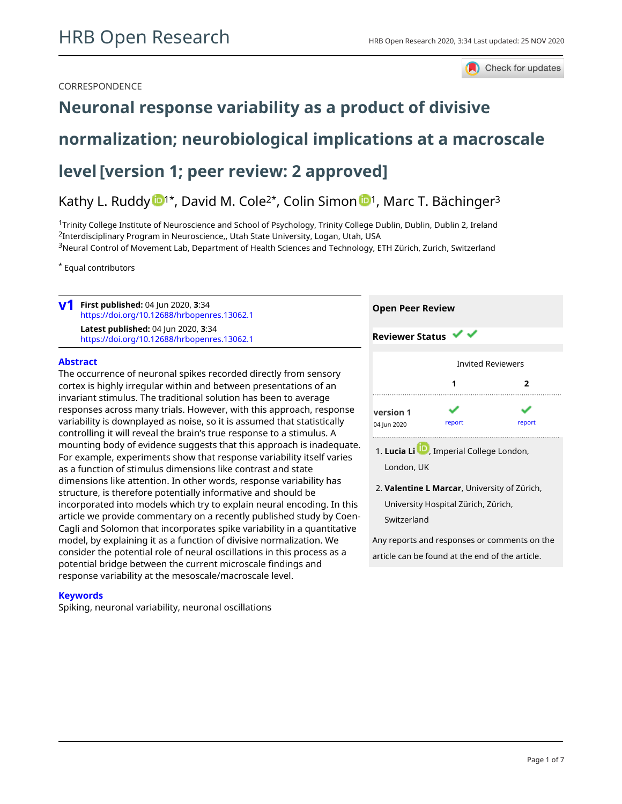### CORRESPONDENCE



# **[Neuronal response variability as a product of divisive](https://hrbopenresearch.org/articles/3-34/v1)**

# **[normalization; neurobiological implications at a macroscale](https://hrbopenresearch.org/articles/3-34/v1)**

# **[level](https://hrbopenresearch.org/articles/3-34/v1)[version 1; peer review: 2 approved]**

# Kathy L. Ruddy  $\mathbb{D}^{1*}$  $\mathbb{D}^{1*}$  $\mathbb{D}^{1*}$ , David M. Cole<sup>2\*</sup>, Colin Simon  $\mathbb{D}^{1}$ , Marc T. Bächinger<sup>3</sup>

<sup>1</sup>Trinity College Institute of Neuroscience and School of Psychology, Trinity College Dublin, Dublin, Dublin 2, Ireland <sup>2</sup>Interdisciplinary Program in Neuroscience,, Utah State University, Logan, Utah, USA

<sup>3</sup>Neural Control of Movement Lab, Department of Health Sciences and Technology, ETH Zürich, Zurich, Switzerland

\* Equal contributors

|  | $V1$ First published: 04 Jun 2020, 3:34<br>https://doi.org/10.12688/hrbopenres.13062.1<br><b>Latest published: 04 Jun 2020, 3:34</b><br>https://doi.org/10.12688/hrbopenres.13062.1 | <b>Open Peer Review</b>                  |
|--|-------------------------------------------------------------------------------------------------------------------------------------------------------------------------------------|------------------------------------------|
|  |                                                                                                                                                                                     | <b>Reviewer Status <math>\vee</math></b> |
|  |                                                                                                                                                                                     |                                          |

### **Abstract**

The occurrence of neuronal spikes recorded directly from sensory cortex is highly irregular within and between presentations of an invariant stimulus. The traditional solution has been to average responses across many trials. However, with this approach, response variability is downplayed as noise, so it is assumed that statistically controlling it will reveal the brain's true response to a stimulus. A mounting body of evidence suggests that this approach is inadequate. For example, experiments show that response variability itself varies as a function of stimulus dimensions like contrast and state dimensions like attention. In other words, response variability has structure, is therefore potentially informative and should be incorporated into models which try to explain neural encoding. In this article we provide commentary on a recently published study by Coen-Cagli and Solomon that incorporates spike variability in a quantitative model, by explaining it as a function of divisive normalization. We consider the potential role of neural oscillations in this process as a potential bridge between the current microscale findings and response variability at the mesoscale/macroscale level.

### **Keywords**

Spiking, neuronal variability, neuronal oscillations



London, UK

Any reports and responses or comments on the article can be found at the end of the article.

**Valentine L Marcar**, University of Zürich, 2. University Hospital Zürich, Zürich, Switzerland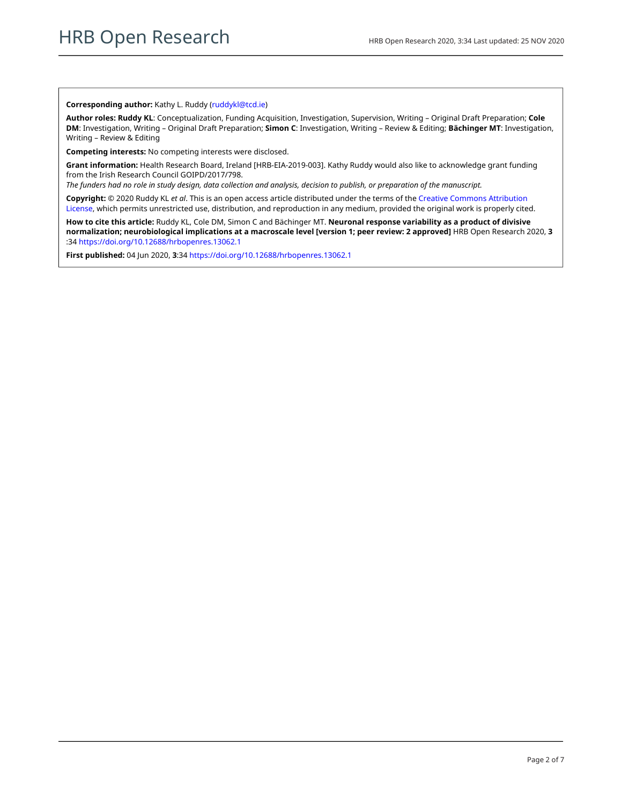#### **Corresponding author:** Kathy L. Ruddy ([ruddykl@tcd.ie](mailto:ruddykl@tcd.ie))

**Author roles: Ruddy KL**: Conceptualization, Funding Acquisition, Investigation, Supervision, Writing – Original Draft Preparation; **Cole DM**: Investigation, Writing – Original Draft Preparation; **Simon C**: Investigation, Writing – Review & Editing; **Bächinger MT**: Investigation, Writing – Review & Editing

**Competing interests:** No competing interests were disclosed.

**Grant information:** Health Research Board, Ireland [HRB-EIA-2019-003]. Kathy Ruddy would also like to acknowledge grant funding from the Irish Research Council GOIPD/2017/798.

*The funders had no role in study design, data collection and analysis, decision to publish, or preparation of the manuscript.*

**Copyright:** © 2020 Ruddy KL *et al*. This is an open access article distributed under the terms of the [Creative Commons Attribution](http://creativecommons.org/licenses/by/4.0/) [License](http://creativecommons.org/licenses/by/4.0/), which permits unrestricted use, distribution, and reproduction in any medium, provided the original work is properly cited.

**How to cite this article:** Ruddy KL, Cole DM, Simon C and Bächinger MT. **Neuronal response variability as a product of divisive normalization; neurobiological implications at a macroscale level [version 1; peer review: 2 approved]** HRB Open Research 2020, **3** :34 <https://doi.org/10.12688/hrbopenres.13062.1>

**First published:** 04 Jun 2020, **3**:34 <https://doi.org/10.12688/hrbopenres.13062.1>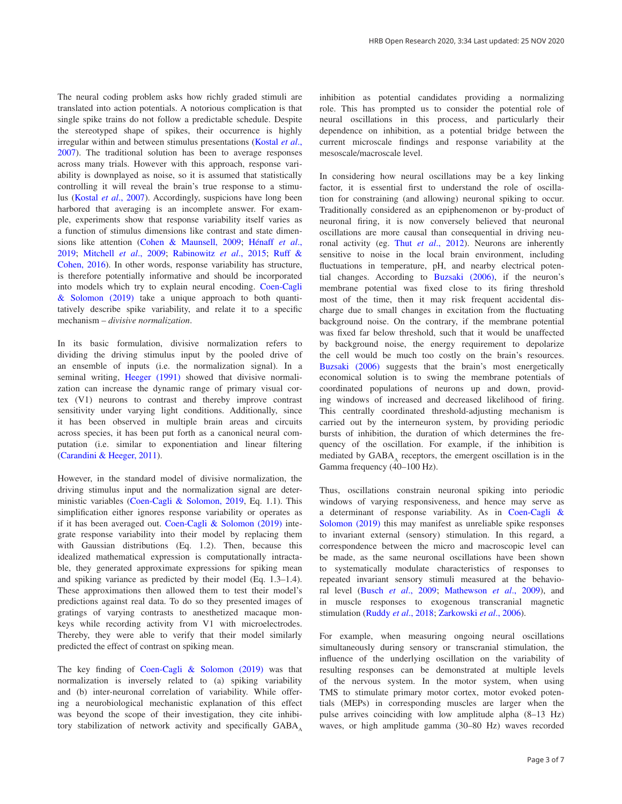The neural coding problem asks how richly graded stimuli are translated into action potentials. A notorious complication is that single spike trains do not follow a predictable schedule. Despite the stereotyped shape of spikes, their occurrence is highly irregular within and between stimulus presentations ([Kostal](#page-4-0) *et al*., [2007\)](#page-4-0). The traditional solution has been to average responses across many trials. However with this approach, response variability is downplayed as noise, so it is assumed that statistically controlling it will reveal the brain's true response to a stimulus (Kostal *et al*[., 2007\)](#page-4-0). Accordingly, suspicions have long been harbored that averaging is an incomplete answer. For example, experiments show that response variability itself varies as a function of stimulus dimensions like contrast and state dimensions like attention [\(Cohen & Maunsell, 2009](#page-4-0); [Hénaff](#page-4-0) *et al*., [2019;](#page-4-0) [Mitchell](#page-4-0) *et al*., 2009; [Rabinowitz](#page-4-0) *et al*., 2015; [Ruff &](#page-4-0)  [Cohen, 2016\). I](#page-4-0)n other words, response variability has structure, is therefore potentially informative and should be incorporated into models which try to explain neural encoding. [Coen-Cagli](#page-4-0)  [& Solomon \(2019\)](#page-4-0) take a unique approach to both quantitatively describe spike variability, and relate it to a specific mechanism – *divisive normalization*.

In its basic formulation, divisive normalization refers to dividing the driving stimulus input by the pooled drive of an ensemble of inputs (i.e. the normalization signal). In a seminal writing, [Heeger \(1991\)](#page-4-0) showed that divisive normalization can increase the dynamic range of primary visual cortex (V1) neurons to contrast and thereby improve contrast sensitivity under varying light conditions. Additionally, since it has been observed in multiple brain areas and circuits across species, it has been put forth as a canonical neural computation (i.e. similar to exponentiation and linear filtering ([Carandini & Heeger, 2011\)](#page-4-0).

However, in the standard model of divisive normalization, the driving stimulus input and the normalization signal are deterministic variables [\(Coen-Cagli & Solomon, 2019](#page-4-0), Eq. 1.1). This simplification either ignores response variability or operates as if it has been averaged out. [Coen-Cagli & Solomon \(2019\)](#page-4-0) integrate response variability into their model by replacing them with Gaussian distributions (Eq. 1.2). Then, because this idealized mathematical expression is computationally intractable, they generated approximate expressions for spiking mean and spiking variance as predicted by their model (Eq. 1.3–1.4). These approximations then allowed them to test their model's predictions against real data. To do so they presented images of gratings of varying contrasts to anesthetized macaque monkeys while recording activity from V1 with microelectrodes. Thereby, they were able to verify that their model similarly predicted the effect of contrast on spiking mean.

The key finding of [Coen-Cagli & Solomon \(2019\)](#page-4-0) was that normalization is inversely related to (a) spiking variability and (b) inter-neuronal correlation of variability. While offering a neurobiological mechanistic explanation of this effect was beyond the scope of their investigation, they cite inhibitory stabilization of network activity and specifically  $GABA$ <sub> $\lambda$ </sub> inhibition as potential candidates providing a normalizing role. This has prompted us to consider the potential role of neural oscillations in this process, and particularly their dependence on inhibition, as a potential bridge between the current microscale findings and response variability at the mesoscale/macroscale level.

In considering how neural oscillations may be a key linking factor, it is essential first to understand the role of oscillation for constraining (and allowing) neuronal spiking to occur. Traditionally considered as an epiphenomenon or by-product of neuronal firing, it is now conversely believed that neuronal oscillations are more causal than consequential in driving neuronal activity (eg. Thut *et al*[., 2012](#page-4-0)). Neurons are inherently sensitive to noise in the local brain environment, including fluctuations in temperature, pH, and nearby electrical potential changes. According to [Buzsaki \(2006\),](#page-4-0) if the neuron's membrane potential was fixed close to its firing threshold most of the time, then it may risk frequent accidental discharge due to small changes in excitation from the fluctuating background noise. On the contrary, if the membrane potential was fixed far below threshold, such that it would be unaffected by background noise, the energy requirement to depolarize the cell would be much too costly on the brain's resources. [Buzsaki \(2006\)](#page-4-0) suggests that the brain's most energetically economical solution is to swing the membrane potentials of coordinated populations of neurons up and down, providing windows of increased and decreased likelihood of firing. This centrally coordinated threshold-adjusting mechanism is carried out by the interneuron system, by providing periodic bursts of inhibition, the duration of which determines the frequency of the oscillation. For example, if the inhibition is mediated by GABA, receptors, the emergent oscillation is in the Gamma frequency (40–100 Hz).

Thus, oscillations constrain neuronal spiking into periodic windows of varying responsiveness, and hence may serve as a determinant of response variability. As in [Coen-Cagli &](#page-4-0)  [Solomon \(2019\)](#page-4-0) this may manifest as unreliable spike responses to invariant external (sensory) stimulation. In this regard, a correspondence between the micro and macroscopic level can be made, as the same neuronal oscillations have been shown to systematically modulate characteristics of responses to repeated invariant sensory stimuli measured at the behavioral level (Busch *et al*[., 2009;](#page-4-0) [Mathewson](#page-4-0) *et al*., 2009), and in muscle responses to exogenous transcranial magnetic stimulation [\(Ruddy](#page-4-0) *et al*., 2018; [Zarkowski](#page-4-0) *et al*., 2006).

For example, when measuring ongoing neural oscillations simultaneously during sensory or transcranial stimulation, the influence of the underlying oscillation on the variability of resulting responses can be demonstrated at multiple levels of the nervous system. In the motor system, when using TMS to stimulate primary motor cortex, motor evoked potentials (MEPs) in corresponding muscles are larger when the pulse arrives coinciding with low amplitude alpha (8–13 Hz) waves, or high amplitude gamma (30–80 Hz) waves recorded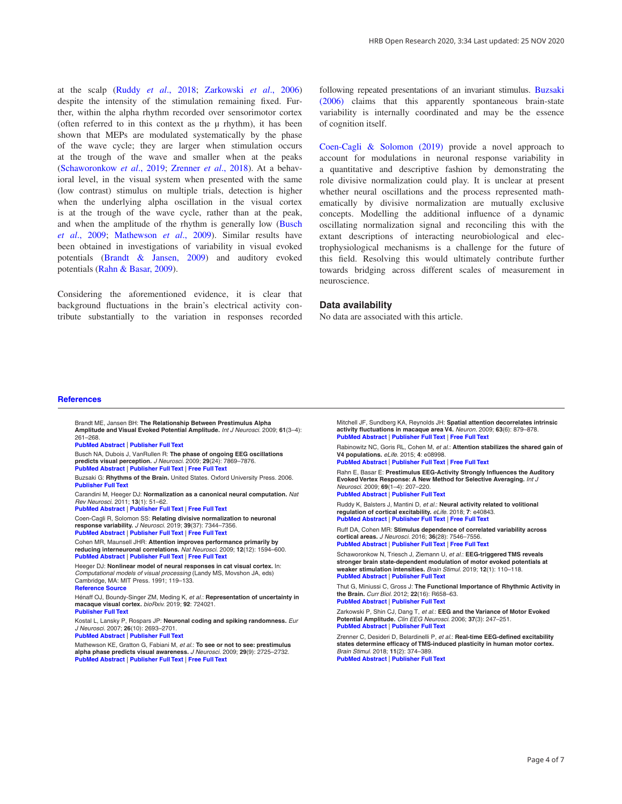<span id="page-4-0"></span>at the scalp (Ruddy *et al*., 2018; Zarkowski *et al*., 2006) despite the intensity of the stimulation remaining fixed. Further, within the alpha rhythm recorded over sensorimotor cortex (often referred to in this context as the  $\mu$  rhythm), it has been shown that MEPs are modulated systematically by the phase of the wave cycle; they are larger when stimulation occurs at the trough of the wave and smaller when at the peaks (Schaworonkow *et al*., 2019; Zrenner *et al*., 2018). At a behavioral level, in the visual system when presented with the same (low contrast) stimulus on multiple trials, detection is higher when the underlying alpha oscillation in the visual cortex is at the trough of the wave cycle, rather than at the peak, and when the amplitude of the rhythm is generally low (Busch *et al*., 2009; Mathewson *et al*., 2009). Similar results have been obtained in investigations of variability in visual evoked potentials (Brandt & Jansen, 2009) and auditory evoked potentials (Rahn & Basar, 2009).

Considering the aforementioned evidence, it is clear that background fluctuations in the brain's electrical activity contribute substantially to the variation in responses recorded following repeated presentations of an invariant stimulus. Buzsaki (2006) claims that this apparently spontaneous brain-state variability is internally coordinated and may be the essence of cognition itself.

Coen-Cagli & Solomon (2019) provide a novel approach to account for modulations in neuronal response variability in a quantitative and descriptive fashion by demonstrating the role divisive normalization could play. It is unclear at present whether neural oscillations and the process represented mathematically by divisive normalization are mutually exclusive concepts. Modelling the additional influence of a dynamic oscillating normalization signal and reconciling this with the extant descriptions of interacting neurobiological and electrophysiological mechanisms is a challenge for the future of this field. Resolving this would ultimately contribute further towards bridging across different scales of measurement in neuroscience.

#### **Data availability**

No data are associated with this article.

#### **References**

 Brandt ME, Jansen BH: **The Relationship Between Prestimulus Alpha Amplitude and Visual Evoked Potential Amplitude.** *Int J Neurosci.* 2009; **61**(3–4): 261–268.

**[PubMed Abstract](http://www.ncbi.nlm.nih.gov/pubmed/1824388)** | **[Publisher Full Text](http://dx.doi.org/10.3109/00207459108990744)**

 Busch NA, Dubois J, VanRullen R: **The phase of ongoing EEG oscillations predicts visual perception.** *J Neurosci.* 2009; **29**(24): 7869–7876. **[PubMed Abstract](http://www.ncbi.nlm.nih.gov/pubmed/19535598)** | **[Publisher Full Text](http://dx.doi.org/10.1523/JNEUROSCI.0113-09.2009)** | **[Free Full Text](http://www.ncbi.nlm.nih.gov/pmc/articles/6665641)**

 Buzsaki G: **Rhythms of the Brain.** United States. Oxford University Press. 2006. **[Publisher Full Text](http://dx.doi.org/10.1093/acprof:oso/9780195301069.001.0001)**

 Carandini M, Heeger DJ: **Normalization as a canonical neural computation.** *Nat Rev Neurosci.* 2011; **13**(1): 51–62.

**[PubMed Abstract](http://www.ncbi.nlm.nih.gov/pubmed/22108672)** | **[Publisher Full Text](http://dx.doi.org/10.1038/nrn3136)** | **[Free Full Text](http://www.ncbi.nlm.nih.gov/pmc/articles/3273486)**

 Coen-Cagli R, Solomon SS: **Relating divisive normalization to neuronal response variability.** *J Neurosci.* 2019; **39**(37): 7344–7356.

**[PubMed Abstract](http://www.ncbi.nlm.nih.gov/pubmed/31387914)** | **[Publisher Full Text](http://dx.doi.org/10.1523/JNEUROSCI.0126-19.2019)** | **[Free Full Text](http://www.ncbi.nlm.nih.gov/pmc/articles/6759019)**

 Cohen MR, Maunsell JHR: **Attention improves performance primarily by reducing interneuronal correlations.** *Nat Neurosci.* 2009; **12**(12): 1594–600. **[PubMed Abstract](http://www.ncbi.nlm.nih.gov/pubmed/19915566)** | **[Publisher Full Text](http://dx.doi.org/10.1038/nn.2439)** | **[Free Full Text](http://www.ncbi.nlm.nih.gov/pmc/articles/2820564)**

 Heeger DJ: **Nonlinear model of neural responses in cat visual cortex.** In: *Computational models of visual processing* (Landy MS, Movshon JA, eds) Cambridge, MA: MIT Press. 1991; 119–133. **[Reference Source](https://nyuscholars.nyu.edu/en/publications/nonlinear-model-of-neural-responses-in-cat-visual-cortex)**

 Hénaff OJ, Boundy-Singer ZM, Meding K, *et al.*: **Representation of uncertainty in macaque visual cortex.** *bioRxiv.* 2019; **92**: 724021. **[Publisher Full Text](http://dx.doi.org/10.1101/724021)**

 Kostal L, Lansky P, Rospars JP: **Neuronal coding and spiking randomness.** *Eur J Neurosci.* 2007; **26**(10): 2693–2701.

**[PubMed Abstract](http://www.ncbi.nlm.nih.gov/pubmed/18001270)** | **[Publisher Full Text](http://dx.doi.org/10.1111/j.1460-9568.2007.05880.x)**

 Mathewson KE, Gratton G, Fabiani M, *et al.*: **To see or not to see: prestimulus alpha phase predicts visual awareness.** *J Neurosci.* 2009; **29**(9): 2725–2732. **[PubMed Abstract](http://www.ncbi.nlm.nih.gov/pubmed/19261866)** | **[Publisher Full Text](http://dx.doi.org/10.1523/JNEUROSCI.3963-08.2009)** | **[Free Full Text](http://www.ncbi.nlm.nih.gov/pmc/articles/2724892)**

 Mitchell JF, Sundberg KA, Reynolds JH: **Spatial attention decorrelates intrinsic activity fluctuations in macaque area V4.** *Neuron.* 2009; **63**(6): 879–878. **[PubMed Abstract](http://www.ncbi.nlm.nih.gov/pubmed/19778515)** | **[Publisher Full Text](http://dx.doi.org/10.1016/j.neuron.2009.09.013)** | **[Free Full Text](http://www.ncbi.nlm.nih.gov/pmc/articles/2765230)**

 Rabinowitz NC, Goris RL, Cohen M, *et al*.: **Attention stabilizes the shared gain of V4 populations.** *eLife*. 2015; **4**: e08998.

**[PubMed Abstract](http://www.ncbi.nlm.nih.gov/pubmed/26523390)** | **[Publisher Full Text](http://dx.doi.org/10.7554/eLife.08998)** | **[Free Full Text](http://www.ncbi.nlm.nih.gov/pmc/articles/4758958)**

 Rahn E, Basar E: **Prestimulus EEG-Activity Strongly Influences the Auditory Evoked Vertex Response: A New Method for Selective Averaging.** *Int J Neurosci.* 2009; **69**(1–4): 207–220. **[PubMed Abstract](http://www.ncbi.nlm.nih.gov/pubmed/8083007)** | **[Publisher Full Text](http://dx.doi.org/10.3109/00207459309003331)**

 Ruddy K, Balsters J, Mantini D, *et al.*: **Neural activity related to volitional regulation of cortical excitability.** *eLife.* 2018; **7**: e40843. **[PubMed Abstract](http://www.ncbi.nlm.nih.gov/pubmed/30489255)** | **[Publisher Full Text](http://dx.doi.org/10.7554/eLife.40843)** | **[Free Full Text](http://www.ncbi.nlm.nih.gov/pmc/articles/6294548)**

 Ruff DA, Cohen MR: **Stimulus dependence of correlated variability across cortical areas.** *J Neurosci.* 2016; **36**(28): 7546–7556. **[PubMed Abstract](http://www.ncbi.nlm.nih.gov/pubmed/27413163)** | **[Publisher Full Text](http://dx.doi.org/10.1523/JNEUROSCI.0504-16.2016)** | **[Free Full Text](http://www.ncbi.nlm.nih.gov/pmc/articles/4945672)**

 Schaworonkow N, Triesch J, Ziemann U, *et al.*: **EEG-triggered TMS reveals stronger brain state-dependent modulation of motor evoked potentials at weaker stimulation intensities.** *Brain Stimul.* 2019; **12**(1): 110–118. **[PubMed Abstract](http://www.ncbi.nlm.nih.gov/pubmed/30268710)** | **[Publisher Full Text](http://dx.doi.org/10.1016/j.brs.2018.09.009)**

 Thut G, Miniussi C, Gross J: **The Functional Importance of Rhythmic Activity in the Brain.** *Curr Biol.* 2012; **22**(16): R658–63. **[PubMed Abstract](http://www.ncbi.nlm.nih.gov/pubmed/22917517)** | **[Publisher Full Text](http://dx.doi.org/10.1016/j.cub.2012.06.061)**

 Zarkowski P, Shin CJ, Dang T, *et al.*: **EEG and the Variance of Motor Evoked Potential Amplitude.** *Clin EEG Neurosci.* 2006; **37**(3): 247–251. **[PubMed Abstract](http://www.ncbi.nlm.nih.gov/pubmed/16929713)** | **[Publisher Full Text](http://dx.doi.org/10.1177/155005940603700316)**

 Zrenner C, Desideri D, Belardinelli P, *et al.*: **Real-time EEG-defined excitability states determine efficacy of TMS-induced plasticity in human motor cortex.** *Brain Stimul.* 2018; **11**(2): 374–389. **[PubMed Abstract](http://www.ncbi.nlm.nih.gov/pubmed/29191438)** | **[Publisher Full Text](http://dx.doi.org/10.1016/j.brs.2017.11.016)**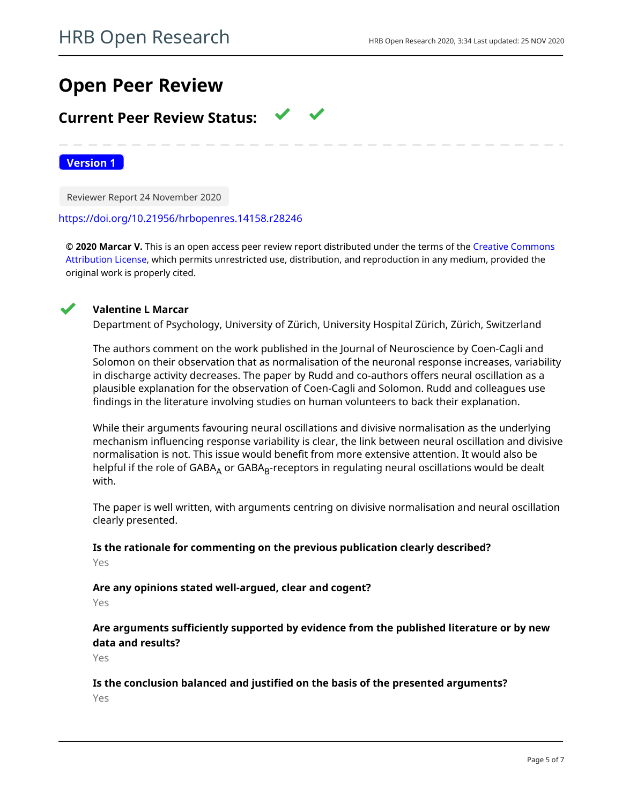# **Open Peer Review**

# **Current Peer Review Status:**

**Version 1**

Reviewer Report 24 November 2020

### <https://doi.org/10.21956/hrbopenres.14158.r28246>

**© 2020 Marcar V.** This is an open access peer review report distributed under the terms of the [Creative Commons](https://creativecommons.org/licenses/by/4.0/) [Attribution License](https://creativecommons.org/licenses/by/4.0/), which permits unrestricted use, distribution, and reproduction in any medium, provided the original work is properly cited.



### **Valentine L Marcar**

Department of Psychology, University of Zürich, University Hospital Zürich, Zürich, Switzerland

The authors comment on the work published in the Journal of Neuroscience by Coen-Cagli and Solomon on their observation that as normalisation of the neuronal response increases, variability in discharge activity decreases. The paper by Rudd and co-authors offers neural oscillation as a plausible explanation for the observation of Coen-Cagli and Solomon. Rudd and colleagues use findings in the literature involving studies on human volunteers to back their explanation.

While their arguments favouring neural oscillations and divisive normalisation as the underlying mechanism influencing response variability is clear, the link between neural oscillation and divisive normalisation is not. This issue would benefit from more extensive attention. It would also be helpful if the role of GABA<sub>A</sub> or GABA<sub>B</sub>-receptors in regulating neural oscillations would be dealt with.

The paper is well written, with arguments centring on divisive normalisation and neural oscillation clearly presented.

## **Is the rationale for commenting on the previous publication clearly described?**

Yes

# **Are any opinions stated well-argued, clear and cogent?**

Yes

**Are arguments sufficiently supported by evidence from the published literature or by new data and results?**

Yes

## **Is the conclusion balanced and justified on the basis of the presented arguments?**

Yes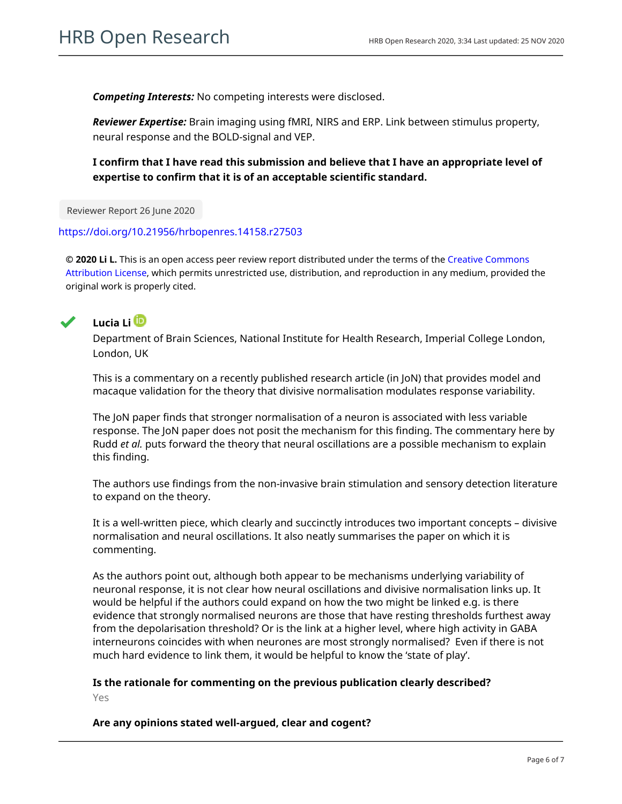*Competing Interests:* No competing interests were disclosed.

*Reviewer Expertise:* Brain imaging using fMRI, NIRS and ERP. Link between stimulus property, neural response and the BOLD-signal and VEP.

**I confirm that I have read this submission and believe that I have an appropriate level of expertise to confirm that it is of an acceptable scientific standard.**

Reviewer Report 26 June 2020

<https://doi.org/10.21956/hrbopenres.14158.r27503>

**© 2020 Li L.** This is an open access peer review report distributed under the terms of the [Creative Commons](https://creativecommons.org/licenses/by/4.0/) [Attribution License](https://creativecommons.org/licenses/by/4.0/), which permits unrestricted use, distribution, and reproduction in any medium, provided the original work is properly cited.



# **Lucia Li**

Department of Brain Sciences, National Institute for Health Research, Imperial College London, London, UK

This is a commentary on a recently published research article (in JoN) that provides model and macaque validation for the theory that divisive normalisation modulates response variability.

The JoN paper finds that stronger normalisation of a neuron is associated with less variable response. The JoN paper does not posit the mechanism for this finding. The commentary here by Rudd *et al.* puts forward the theory that neural oscillations are a possible mechanism to explain this finding.

The authors use findings from the non-invasive brain stimulation and sensory detection literature to expand on the theory.

It is a well-written piece, which clearly and succinctly introduces two important concepts – divisive normalisation and neural oscillations. It also neatly summarises the paper on which it is commenting.

As the authors point out, although both appear to be mechanisms underlying variability of neuronal response, it is not clear how neural oscillations and divisive normalisation links up. It would be helpful if the authors could expand on how the two might be linked e.g. is there evidence that strongly normalised neurons are those that have resting thresholds furthest away from the depolarisation threshold? Or is the link at a higher level, where high activity in GABA interneurons coincides with when neurones are most strongly normalised? Even if there is not much hard evidence to link them, it would be helpful to know the 'state of play'.

## **Is the rationale for commenting on the previous publication clearly described?**

Yes

**Are any opinions stated well-argued, clear and cogent?**